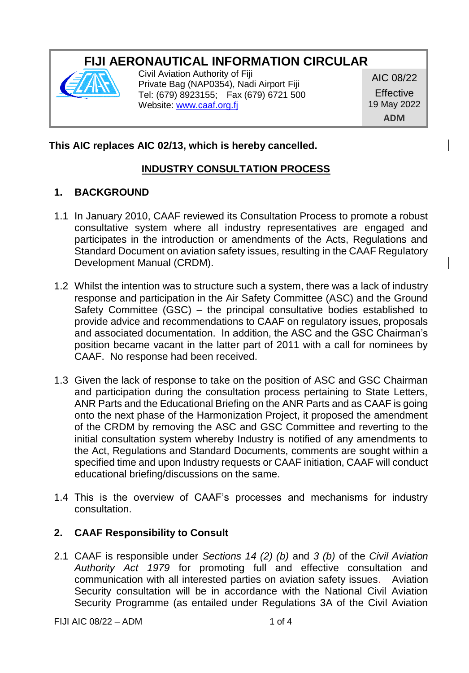# **FIJI AERONAUTICAL INFORMATION CIRCULAR**



Civil Aviation Authority of Fiji Private Bag (NAP0354), Nadi Airport Fiji Tel: (679) 8923155; Fax (679) 6721 500 Website[: www.caaf.org.fj](http://www.caaf.org.fj/)

AIC 08/22 **Effective** 19 May 2022 **ADM**

## **This AIC replaces AIC 02/13, which is hereby cancelled.**

## **INDUSTRY CONSULTATION PROCESS**

### **1. BACKGROUND**

- 1.1 In January 2010, CAAF reviewed its Consultation Process to promote a robust consultative system where all industry representatives are engaged and participates in the introduction or amendments of the Acts, Regulations and Standard Document on aviation safety issues, resulting in the CAAF Regulatory Development Manual (CRDM).
- 1.2 Whilst the intention was to structure such a system, there was a lack of industry response and participation in the Air Safety Committee (ASC) and the Ground Safety Committee (GSC) – the principal consultative bodies established to provide advice and recommendations to CAAF on regulatory issues, proposals and associated documentation. In addition, the ASC and the GSC Chairman's position became vacant in the latter part of 2011 with a call for nominees by CAAF. No response had been received.
- 1.3 Given the lack of response to take on the position of ASC and GSC Chairman and participation during the consultation process pertaining to State Letters, ANR Parts and the Educational Briefing on the ANR Parts and as CAAF is going onto the next phase of the Harmonization Project, it proposed the amendment of the CRDM by removing the ASC and GSC Committee and reverting to the initial consultation system whereby Industry is notified of any amendments to the Act, Regulations and Standard Documents, comments are sought within a specified time and upon Industry requests or CAAF initiation, CAAF will conduct educational briefing/discussions on the same.
- 1.4 This is the overview of CAAF's processes and mechanisms for industry consultation.

### **2. CAAF Responsibility to Consult**

2.1 CAAF is responsible under *Sections 14 (2) (b)* and *3 (b)* of the *Civil Aviation Authority Act 1979* for promoting full and effective consultation and communication with all interested parties on aviation safety issues. Aviation Security consultation will be in accordance with the National Civil Aviation Security Programme (as entailed under Regulations 3A of the Civil Aviation

FIJI AIC  $08/22 = ADM$  1 of 4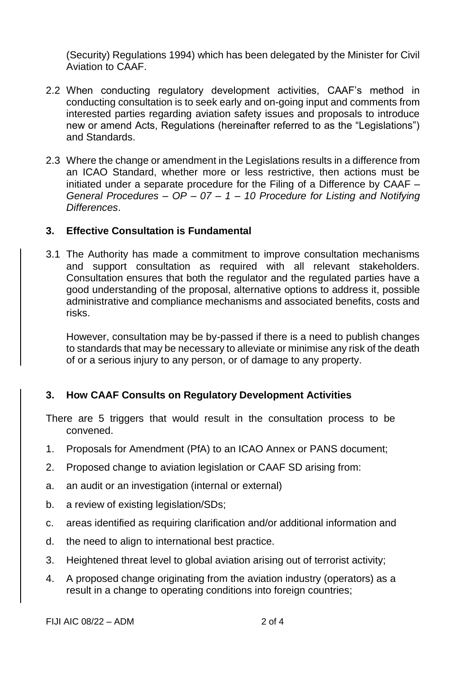(Security) Regulations 1994) which has been delegated by the Minister for Civil Aviation to CAAF.

- 2.2 When conducting regulatory development activities, CAAF's method in conducting consultation is to seek early and on-going input and comments from interested parties regarding aviation safety issues and proposals to introduce new or amend Acts, Regulations (hereinafter referred to as the "Legislations") and Standards.
- 2.3 Where the change or amendment in the Legislations results in a difference from an ICAO Standard, whether more or less restrictive, then actions must be initiated under a separate procedure for the Filing of a Difference by CAAF – *General Procedures – OP – 07 – 1 – 10 Procedure for Listing and Notifying Differences*.

#### **3. Effective Consultation is Fundamental**

3.1 The Authority has made a commitment to improve consultation mechanisms and support consultation as required with all relevant stakeholders. Consultation ensures that both the regulator and the regulated parties have a good understanding of the proposal, alternative options to address it, possible administrative and compliance mechanisms and associated benefits, costs and risks.

However, consultation may be by-passed if there is a need to publish changes to standards that may be necessary to alleviate or minimise any risk of the death of or a serious injury to any person, or of damage to any property.

### **3. How CAAF Consults on Regulatory Development Activities**

There are 5 triggers that would result in the consultation process to be convened.

- 1. Proposals for Amendment (PfA) to an ICAO Annex or PANS document;
- 2. Proposed change to aviation legislation or CAAF SD arising from:
- a. an audit or an investigation (internal or external)
- b. a review of existing legislation/SDs;
- c. areas identified as requiring clarification and/or additional information and
- d. the need to align to international best practice.
- 3. Heightened threat level to global aviation arising out of terrorist activity;
- 4. A proposed change originating from the aviation industry (operators) as a result in a change to operating conditions into foreign countries;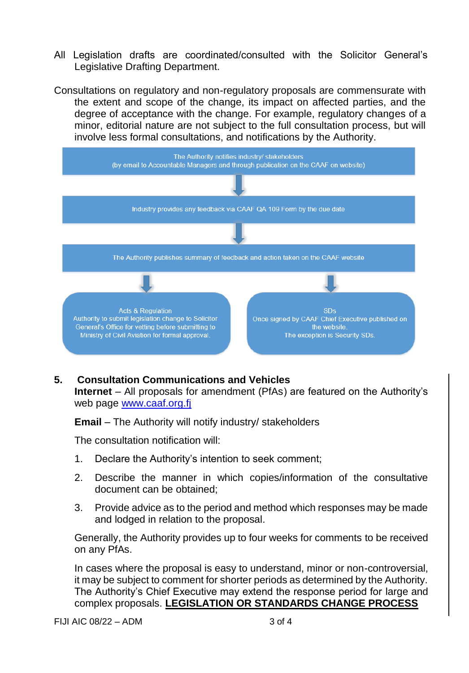- All Legislation drafts are coordinated/consulted with the Solicitor General's Legislative Drafting Department.
- Consultations on regulatory and non-regulatory proposals are commensurate with the extent and scope of the change, its impact on affected parties, and the degree of acceptance with the change. For example, regulatory changes of a minor, editorial nature are not subject to the full consultation process, but will involve less formal consultations, and notifications by the Authority.



#### **5. Consultation Communications and Vehicles**

**Internet** – All proposals for amendment (PfAs) are featured on the Authority's web page [www.caaf.org.fj](http://www.caaf.org.fj/) 

**Email** – The Authority will notify industry/ stakeholders

The consultation notification will:

- 1. Declare the Authority's intention to seek comment;
- 2. Describe the manner in which copies/information of the consultative document can be obtained;
- 3. Provide advice as to the period and method which responses may be made and lodged in relation to the proposal.

Generally, the Authority provides up to four weeks for comments to be received on any PfAs.

In cases where the proposal is easy to understand, minor or non-controversial, it may be subject to comment for shorter periods as determined by the Authority. The Authority's Chief Executive may extend the response period for large and complex proposals. **LEGISLATION OR STANDARDS CHANGE PROCESS**